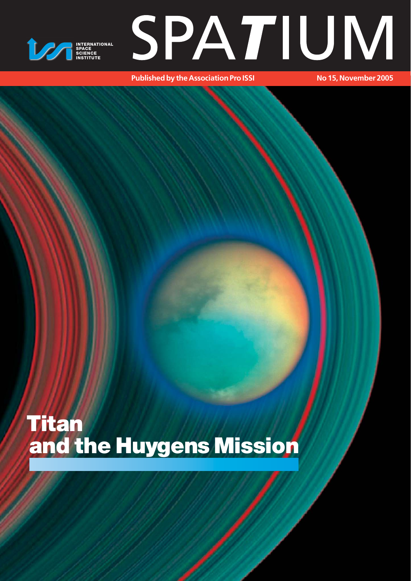

#### Published by the Association Pro ISSI **No 15, November 2005**

# **Titan and the Huygens Mission**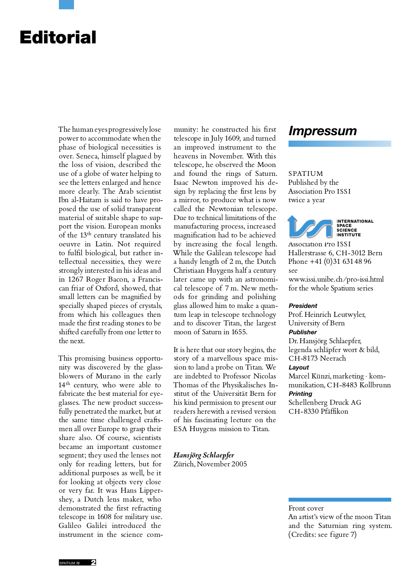## **Editorial**

The human eyes progressively lose power to accommodate when the phase of biological necessities is over. Seneca, himself plagued by the loss of vision, described the use of a globe of water helping to see the letters enlarged and hence more clearly. The Arab scientist Ibn al-Haitam is said to have proposed the use of solid transparent material of suitable shape to support the vision. European monks of the 13th century translated his oeuvre in Latin. Not required to fulfil biological, but rather in tellectual necessities, they were strongly interested in his ideas and in 1267 Roger Bacon, a Francis can friar of Oxford, showed, that small letters can be magnified by specially shaped pieces of crystals, from which his colleagues then made the first reading stones to be shifted carefully from one letter to the next.

This promising business opportunity was discovered by the glass blowers of Murano in the early<br>14<sup>th</sup> century, who were able to<br>fabricate the best material for eyeglasses. The new product successfully penetrated the market, but at the same time challenged crafts men all over Europe to grasp their share also. Of course, scientists became an important customer segment; they used the lenses not only for reading letters, but for additional purposes as well, be it for looking at objects very close or very far. It was Hans Lipper shey, a Dutch lens maker, who demonstrated the first refracting telescope in 1608 for military use. Galileo Galilei introduced the instrument in the science com-

munity: he constructed his first telescope in July 1609, and turned an improved instrument to the heavens in November. With this telescope, he observed the Moon and found the rings of Saturn. Isaac Newton improved his de sign by replacing the first lens by a mirror, to produce what is now called the Newtonian telescope. Due to technical limitations of the manufacturing process, increased magnification had to be achieved by increasing the focal length. While the Galilean telescope had a handy length of 2 m, the Dutch Christiaan Huygens half a century later came up with an astronomical telescope of 7 m. New meth ods for grinding and polishing glass allowed him to make a quan tum leap in telescope technology and to discover Titan, the largest

moon of Saturn in 1655. It is here that our story begins, the story of a marvellous space mis sion to land a probe on Titan. We are indebted to Professor Nicolas Thomas of the Physikalisches In stitut of the Universität Bern for his kind permission to present our readers herewith a revised version of his fascinating lecture on the ESA Huygens mission to Titan.

*Hansjörg Schlaepfer* Zürich, November 2005

#### *Impressum*

#### **SPATIUM** Published by the Association Pro ISSI twice a year



Association Pro ISSI Hallerstrasse 6, CH-3012 Bern Phone +41 (0)31 631 48 96 see www.issi.unibe.ch/pro-issi.html for the whole Spatium series

#### *President*

Prof. Heinrich Leutwyler, University of Bern *Publisher*

Dr. Hansjörg Schlaepfer, legenda schläpfer wort & bild, C H-8173 Neerach

#### *Layout*

Marcel Künzi, marketing · kommunikation, C H-8483 Kollbrunn *Printing* 

Schellenberg Druck AG C H-8330 Pfäffikon

#### Front cover

An artist's view of the moon Titan and the Saturnian ring system. (Credits: see figure 7)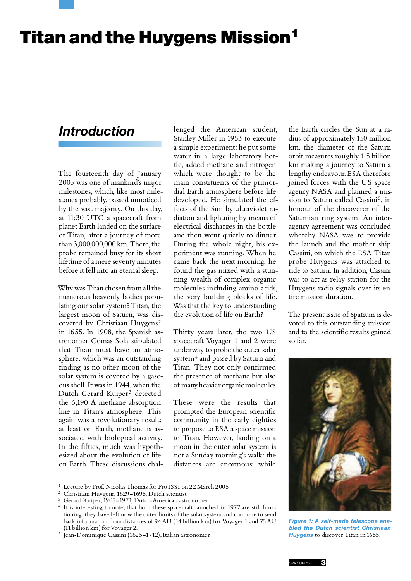## **Titan and the Huygens Mission<sup>1</sup>**

## *Introduction*

The fourteenth day of January 2005 was one of mankind's major milestones, which, like most milestones probably, passed unnoticed by the vast majority. On this day, at 11:30 UTC a spacecraft from planet Earth landed on the surface of Titan, after a journey of more than 3,000,000,000 km. There, the probe remained busy for its short lifetime of a mere seventy minutes before it fell into an eternal sleep. Why was Titan chosen from all the

numerous heavenly bodies popu lating our solar system? Titan, the largest moon of Saturn, was discovered by Christiaan Huygens <sup>2</sup> in 1655. In 1908, the Spanish as tronomer Comas Sola stipulated that Titan must have an atmo sphere, which was an outstanding finding as no other moon of the solar system is covered by a gase ous shell. It was in 1944, when the<br>Dutch Gerard Kuiper<sup>3</sup> detected the 6,190 Å methane absorption line in Titan's atmosphere. This again was a revolutionary result: at least on Earth, methane is as sociated with biological activity. In the fifties, much was hypoth esized about the evolution of life on Earth. These discussions challenged the American student, Stanley Miller in 1953 to execute a simple experiment: he put some water in a large laboratory bot tle, added methane and nitrogen which were thought to be the main constituents of the primor dial Earth atmosphere before life developed. He simulated the ef fects of the Sun by ultraviolet ra diation and lightning by means of electrical discharges in the bottle and then went quietly to dinner. During the whole night, his ex periment was running. When he came back the next morning, he found the gas mixed with a stun ning wealth of complex organic molecules including amino acids, the very building blocks of life.<br>Was that the key to understanding the evolution of life on Earth?<br>Thirty years later, the two US

spacecraft Voyager 1 and 2 were underway to probe the outer solar system4 and passed by Saturn and Titan. They not only confirmed the presence of methane but also of many heavier organic molecules.

These were the results that prompted the European scientific community in the early eighties to propose to ESA a space mission to Titan. However, landing on a moon in the outer solar system is not a Sunday morning's walk: the distances are enormous: while

the Earth circles the Sun at a ra dius of approximately 150 million km, the diameter of the Saturn orbit measures roughly 1.5 billion km making a journey to Saturn a lengthy endeavour. ESA therefore joined forces with the US space agency NASA and planned a mission to Saturn called Cassini<sup>5</sup>, in honour of the discoverer of the Saturnian ring system. An interagency agreement was concluded whereby NASA was to provide the launch and the mother ship Cassini, on which the ESA Titan probe Huygens was attached to ride to Saturn. In addition, Cassini was to act as relay station for the Huygens radio signals over its entire mission duration. The present issue of Spatium is de-

voted to this outstanding mission and to the scientific results gained so far.



*bled the Dutch scientist Christiaan Huygens* to discover Titan in 1655.

<sup>&</sup>lt;sup>1</sup> Lecture by Prof. Nicolas Thomas for Pro ISSI on 22 March 2005  $^2$  Christiaan Huygens, 1629–1695, Dutch scientist  $^3$  Gerard Kuiper, 1905–1973, Dutch-American astronomer

It is interesting to note, that both these spacecraft launched in 1977 are still functioning: they have left now the outer limits of the solar system and continue to send<br>back information from distances of 94 AU (14 billion km) for Voyager 1 and 75 AU<br>(11 billion km) for Voyager 2.<br>bled the Dutch scientist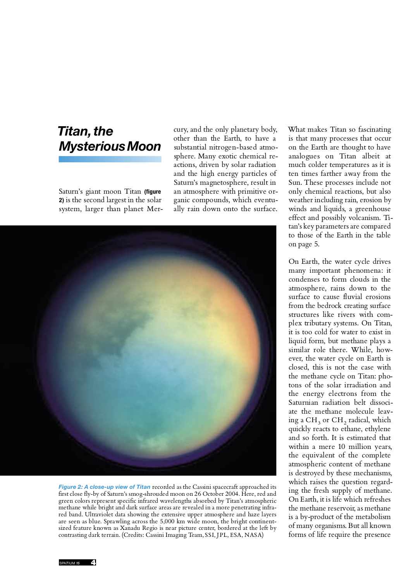## *Titan, the Mysterious Moon*

Saturn's giant moon Titan **(figure 2)** is the second largest in the solar system, larger than planet Mer-

cury, and the only planetary body, other than the Earth, to have a substantial nitrogen-based atmo sphere. Many exotic chemical re actions, driven by solar radiation and the high energy particles of Saturn's magnetosphere, result in an atmosphere with primitive or ganic compounds, which eventu ally rain down onto the surface.



Figure 2: A close-up view of Titan recorded as the Cassini spacecraft approached its first close fly-by of Saturn's smog-shrouded moon on 26 October 2004. Here, red and green colors represent specific infrared wavelengths red band. Ultraviolet data showing the extensive upper atmosphere and haze layers are seen as blue. Sprawling across the 5,000 km wide moon, the bright continent sized feature known as Xanadu Regio is near picture center, bordered at the left by contrasting dark terrain. (Credits: Cassini Imaging Team, SSI, JPL, ESA, NASA)

What makes Titan so fascinating is that many processes that occur on the Earth are thought to have analogues on Titan albeit at much colder temperatures as it is ten times farther away from the Sun. These processes include not only chemical reactions, but also weather including rain, erosion by winds and liquids, a greenhouse effect and possibly volcanism. Ti tan's key parameters are compared to those of the Earth in the table on page 5.

On Earth, the water cycle drives many important phenomena: it condenses to form clouds in the atmosphere, rains down to the surface to cause fluvial erosions from the bedrock creating surface structures like rivers with com plex tributary systems. On Titan, it is too cold for water to exist in liquid form, but methane plays a similar role there. While, how ever, the water cycle on Earth is closed, this is not the case with the methane cycle on Titan: photons of the solar irradiation and the energy electrons from the Saturnian radiation belt dissoci ate the methane molecule leav ing a CH<sub>3</sub> or CH<sub>2</sub> radical, which quickly reacts to ethane, ethylene and so forth. It is estimated that within a mere 10 million years, the equivalent of the complete atmospheric content of methane is destroyed by these mechanisms, which raises the question regard ing the fresh supply of methane.<br>On Earth, it is life which refreshes<br>the methane reservoir, as methane<br>is a by-product of the metabolism<br>of many organisms. But all known<br>forms of life require the presence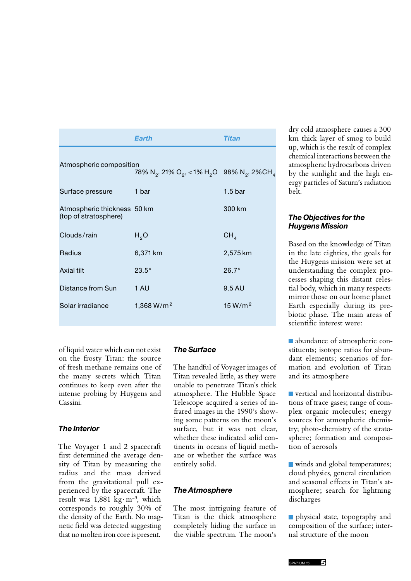| <b>Earth</b>           | <b>Titan</b>                                                                                                                                                     |
|------------------------|------------------------------------------------------------------------------------------------------------------------------------------------------------------|
|                        |                                                                                                                                                                  |
|                        |                                                                                                                                                                  |
| 1 bar                  | 1.5 <sub>bar</sub>                                                                                                                                               |
|                        | 300 km                                                                                                                                                           |
| H <sub>2</sub> O       | CH <sub>4</sub>                                                                                                                                                  |
| 6,371 km               | 2,575 km                                                                                                                                                         |
| $23.5^\circ$           | $26.7^\circ$                                                                                                                                                     |
| 1 AU                   | 9.5 AU                                                                                                                                                           |
| 1,368 W/m <sup>2</sup> | 15 W/m <sup>2</sup>                                                                                                                                              |
|                        | Atmospheric composition<br>78% N <sub>2</sub> , 21% O <sub>2</sub> , <1% H <sub>2</sub> O 98% N <sub>2</sub> , 2% CH <sub>4</sub><br>Atmospheric thickness 50 km |

dry cold atmosphere causes a 300 km thick layer of smog to build up, which is the result of complex chemical interactions between the atmospheric hydrocarbons driven by the sunlight and the high en ergy particles of Saturn's radiation belt.

#### *The Objectives for the Huygens Mission*

Based on the knowledge of Titan in the late eighties, the goals for the Huygens mission were set at understanding the complex pro cesses shaping this distant celestial body, which in many respects mirror those on our home planet Earth especially during its pre biotic phase. The main areas of scientific interest were:

of liquid water which can not exist on the frosty Titan: the source of fresh methane remains one of the many secrets which Titan continues to keep even after the intense probing by Huygens and Cassini.

#### *The Interior*

The Voyager 1 and 2 spacecraft first determined the average den sity of Titan by measuring the radius and the mass derived from the gravitational pull ex perienced by the spacecraft. The result was  $1,881 \text{ kg} \cdot \text{m}^{-3}$ , which corresponds to roughly 30% of the density of the Earth. No mag netic field was detected suggesting that no molten iron core is present.

#### *The Surface*

The handful of Voyager images of Titan revealed little, as they were unable to penetrate Titan's thick atmosphere. The Hubble Space Telescope acquired a series of in frared images in the 1990's show ing some patterns on the moon's surface, but it was not clear, whether these indicated solid continents in oceans of liquid meth ane or whether the surface was entirely solid.

#### *The Atmosphere*

The most intriguing feature of Titan is the thick atmosphere completely hiding the surface in the visible spectrum. The moon's

abundance of atmospheric constituents; isotope ratios for abundant elements; scenarios of for mation and evolution of Titan and its atmosphere

vertical and horizontal distributions of trace gases; range of complex organic molecules; energy sources for atmospheric chemistry; photo-chemistry of the stratosphere; formation and composi-

tion of aerosols winds and global temperatures; cloud physics, general circulation and seasonal effects in Titan's atmosphere; search for lightning discharges

physical state, topography and composition of the surface; internal structure of the moon

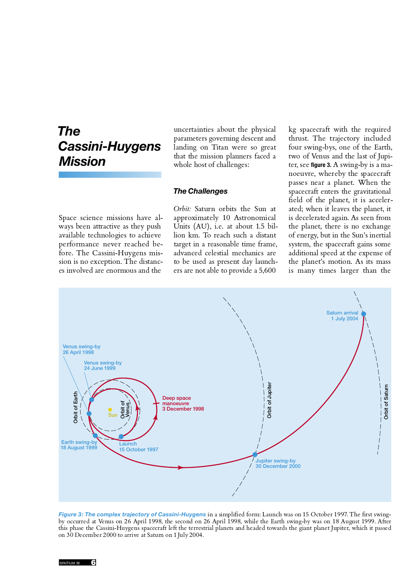## *The Cassini-Huygens Mission*

uncertainties about the physical parameters governing descent and landing on Titan were so great that the mission planners faced a whole host of challenges:

#### *The Challenges*

Space science missions have al ways been attractive as they push available technologies to achieve performance never reached be fore. The Cassini-Huygens mis sion is no exception. The distanc es involved are enormous and the

*Orbit:* Saturn orbits the Sun at approximately 10 Astronomical Units (AU), i.e. at about 1.5 bil-<br>lion km. To reach such a distant target in a reasonable time frame,<br>advanced celestial mechanics are<br>to be used as present day launchers are not able to provide a 5,600

kg spacecraft with the required thrust. The trajectory included four swing-bys, one of the Earth, two of Venus and the last of Jupiter, see **figure 3.** A swing-by is a ma noeuvre, whereby the spacecraft passes near a planet. When the spacecraft enters the gravitational field of the planet, it is acceler ated; when it leaves the planet, it is decelerated again. As seen from the planet, there is no exchange of energy, but in the Sun's inertial system, the spacecraft gains some additional speed at the expense of the planet's motion. As its mass is many times larger than the



*Figure 3: The complex trajectory of Cassini-Huygens* in a simplified form: Launch was on 15 October 1997. The first swing by occurred at Venus on 26 April 1998, the second on 26 April 1998, while the Earth swing-by was on 18 August 1999. After this phase the Cassini-Huygens spacecraft left the terrestrial planets and headed towards the giant planet Jupiter, which it passed on 30 December 2000 to arrive at Saturn on 1 July 2004.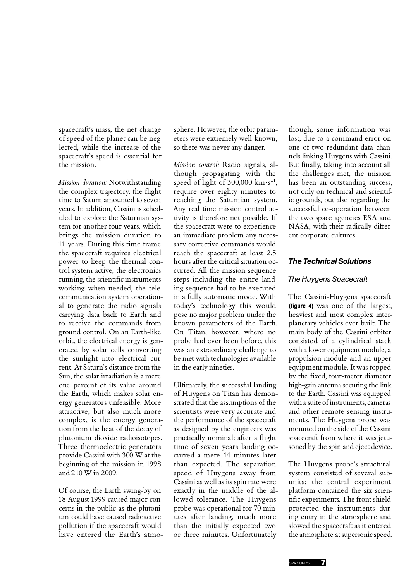spacecraft's mass, the net change of speed of the planet can be neg lected, while the increase of the spacecraft's speed is essential for the mission.

*Mission duration:* Notwithstanding the complex trajectory, the flight time to Saturn amounted to seven years. In addition, Cassini is scheduled to explore the Saturnian system for another four years, which brings the mission duration to 11 years. During this time frame the spacecraft requires electrical power to keep the thermal control system active, the electronics running, the scientific instruments working when needed, the tele communication system operation al to generate the radio signals carrying data back to Earth and to receive the commands from ground control. On an Earth-like orbit, the electrical energy is gen erated by solar cells converting the sunlight into electrical cur rent. At Saturn's distance from the Sun, the solar irradiation is a mere one percent of its value around the Earth, which makes solar en ergy generators unfeasible. More attractive, but also much more complex, is the energy generation from the heat of the decay of plutonium dioxide radioisotopes. Three thermoelectric generators provide Cassini with 300 W at the beginning of the mission in 1998 and 210 W in 2009.

Of course, the Earth swing-by on 18 August 1999 caused major con cerns in the public as the plutoni um could have caused radioactive pollution if the spacecraft would have entered the Earth's atmo-

sphere. However, the orbit parameters were extremely well-known, so there was never any danger.

*Mission control:* Radio signals, al though propagating with the speed of light of 300,000 km·s<sup>-1</sup>, require over eighty minutes to reaching the Saturnian system. Any real time mission control activity is therefore not possible. If the spacecraft were to experience an immediate problem any neces sary corrective commands would reach the spacecraft at least 2.5 hours after the critical situation occurred. All the mission sequence steps including the entire land ing sequence had to be executed in a fully automatic mode. With today's technology this would pose no major problem under the known parameters of the Earth. On Titan, however, where no probe had ever been before, this was an extraordinary challenge to be met with technologies available in the early nineties.

Ultimately, the successful landing of Huygens on Titan has demon strated that the assumptions of the scientists were very accurate and the performance of the spacecraft as designed by the engineers was practically nominal: after a flight time of seven years landing oc curred a mere 14 minutes later than expected. The separation speed of Huygens away from Cassini as well as its spin rate were exactly in the middle of the al lowed tolerance. The Huygens probe was operational for 70 min utes after landing, much more than the initially expected two or three minutes. Unfortunately

though, some information was lost, due to a command error on one of two redundant data channels linking Huygens with Cassini. But finally, taking into account all the challenges met, the mission has been an outstanding success, not only on technical and scientific grounds, but also regarding the successful co-operation between the two space agencies ESA and NASA, with their radically different corporate cultures.

#### *The Technical Solutions*

#### *The Huygens Spacecraft*

The Cassini-Huygens spacecraft **(figure 4)** was one of the largest, heaviest and most complex interplanetary vehicles ever built. The main body of the Cassini orbiter consisted of a cylindrical stack with a lower equipment module, a propulsion module and an upper equipment module. It was topped by the fixed, four-meter diameter high-gain antenna securing the link to the Earth. Cassini was equipped with a suite of instruments, cameras and other remote sensing instru ments. The Huygens probe was mounted on the side of the Cassini spacecraft from where it was jettisoned by the spin and eject device. The Huygens probe's structural

system consisted of several sub units: the central experiment platform contained the six scientific experiments. The front shield protected the instruments dur ing entry in the atmosphere and slowed the spacecraft as it entered the atmosphere at supersonic speed.

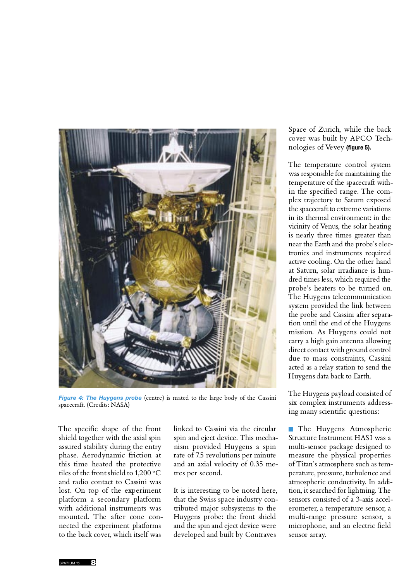

*Figure 4: The Huygens probe* (centre) is mated to the large body of the Cassini spacecraft. (Credits: NASA)

The specific shape of the front shield together with the axial spin assured stability during the entry phase. Aerodynamic friction at this time heated the protective tiles of the front shield to 1,200 ºC and radio contact to Cassini was lost. On top of the experiment platform a secondary platform with additional instruments was mounted. The after cone con nected the experiment platforms to the back cover, which itself was

linked to Cassini via the circular spin and eject device. This mecha nism provided Huygens a spin rate of 7.5 revolutions per minute and an axial velocity of 0.35 metres per second.

It is interesting to be noted here, that the Swiss space industry con tributed major subsystems to the Huygens probe: the front shield and the spin and eject device were developed and built by Contraves Space of Zurich, while the back cover was built by APCO Tech nologies of Vevey **(figure 5).**

The temperature control system was responsible for maintaining the temperature of the spacecraft with in the specified range. The com plex trajectory to Saturn exposed the spacecraft to extreme variations in its thermal environment: in the vicinity of Venus, the solar heating is nearly three times greater than near the Earth and the probe's elec tronics and instruments required active cooling. On the other hand at Saturn, solar irradiance is hun dred times less, which required the probe's heaters to be turned on. The Huygens telecommunication system provided the link between the probe and Cassini after separation until the end of the Huygens mission. As Huygens could not carry a high gain antenna allowing direct contact with ground control due to mass constraints, Cassini acted as a relay station to send the Huygens data back to Earth. The Huygens payload consisted of six complex instruments address-

ing many scientific questions:

**The Huygens Atmospheric** Structure Instrument HASI was a multi-sensor package designed to measure the physical properties of Titan's atmosphere such as tem perature, pressure, turbulence and atmospheric conductivity. In addition, it searched for lightning. The sensors consisted of a 3-axis accel erometer, a temperature sensor, a multi-range pressure sensor, a microphone, and an electric field sensor array.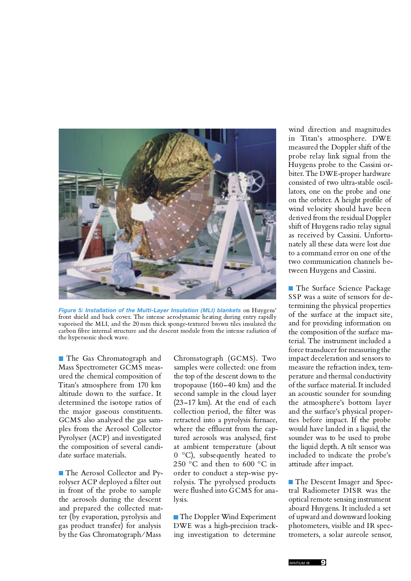

Figure 5: Installation of the Multi-Layer Insulation (MLI) blankets on Huygens' front shield and back cover. The intense aerodynamic heating during entry rapidly vaporised the MLI, and the 20 mm thick sponge-textured brown

**The Gas Chromatograph and** Mass Spectrometer GCMS measured the chemical composition of Titan's atmosphere from 170 km altitude down to the surface. It determined the isotope ratios of the major gaseous constituents. GCMS also analysed the gas samples from the Aerosol Collector Pyrolyser (ACP) and investigated the composition of several candidate surface materials.

■ The Aerosol Collector and Pyrolyser ACP deployed a filter out in front of the probe to sample the aerosols during the descent and prepared the collected mat ter (by evaporation, pyrolysis and gas product transfer) for analysis by the Gas Chromatograph/ Mass

Chromatograph (GCMS). Two samples were collected: one from the top of the descent down to the tropopause (160–40 km) and the second sample in the cloud layer (23–17 km). At the end of each collection period, the filter was retracted into a pyrolysis furnace, where the effluent from the cap tured aerosols was analysed, first at ambient temperature (about 0 ºC), subsequently heated to 250 ºC and then to 600 ºC in order to conduct a step-wise pyrolysis. The pyrolysed products were flushed into GCMS for ana-

lysis. The Doppler Wind Experiment DWE was a high-precision tracking investigation to determine

wind direction and magnitudes in Titan's atmosphere. DWE measured the Doppler shift of the probe relay link signal from the Huygens probe to the Cassini or biter. The DWE-proper hardware consisted of two ultra-stable oscillators, one on the probe and one on the orbiter. A height profile of wind velocity should have been derived from the residual Doppler shift of Huygens radio relay signal as received by Cassini. Unfortu nately all these data were lost due to a command error on one of the two communication channels be-

tween Huygens and Cassini.<br>**The Surface Science Package** SSP was a suite of sensors for determining the physical properties of the surface at the impact site, and for providing information on the composition of the surface material. The instrument included a force transducer for measuring the impact deceleration and sensors to measure the refraction index, temperature and thermal conductivity of the surface material. It included an acoustic sounder for sounding the atmosphere's bottom layer and the surface's physical properties before impact. If the probe would have landed in a liquid, the sounder was to be used to probe the liquid depth. A tilt sensor was included to indicate the probe's attitude after impact.

■ The Descent Imager and Spectral Radiometer DISR was the optical remote sensing instrument aboard Huygens. It included a set of upward and downward looking photometers, visible and IR spec trometers, a solar aureole sensor,

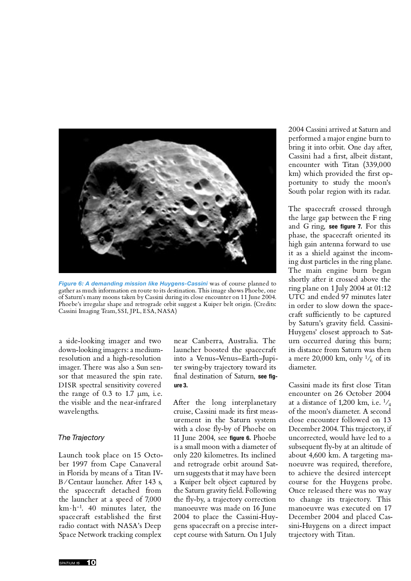

Figure 6: A demanding mission like Huygens-Cassini was of course planned to gather as much information en route to its destination. This image shows Phoebe, one of Saturn's many moons taken by Cassini during its close enco

a side-looking imager and two down-looking imagers: a medium resolution and a high-resolution imager. There was also a Sun sen sor that measured the spin rate. DISR spectral sensitivity covered the range of  $0.3$  to  $1.7 \mu m$ , i.e. the visible and the near-infrared wavelengths.

#### *The Trajectory*

Launch took place on 15 Octo ber 1997 from Cape Canaveral in Florida by means of a Titan IV- B/Centaur launcher. After 143 s, the spacecraft detached from the launcher at a speed of 7,000 km·h<sup>-1</sup>. 40 minutes later, the spacecraft established the first radio contact with NASA's Deep Space Network tracking complex

near Canberra, Australia. The launcher boosted the spacecraft into a Venus–Venus–Earth–Jupiter swing-by trajectory toward its final destination of Saturn, **see figure 3.**

After the long interplanetary cruise, Cassini made its first meas urement in the Saturn system with a close fly-by of Phoebe on 11 June 2004, see **figure 6.** Phoebe is a small moon with a diameter of only 220 kilometres. Its inclined and retrograde orbit around Sat urn suggests that it may have been a Kuiper belt object captured by the Saturn gravity field. Following the fly-by, a trajectory correction manoeuvre was made on 16 June 2004 to place the Cassini-Huy gens spacecraft on a precise inter cept course with Saturn. On 1 July

2004 Cassini arrived at Saturn and performed a major engine burn to bring it into orbit. One day after, Cassini had a first, albeit distant, encounter with Titan (339,000 km) which provided the first op portunity to study the moon's South polar region with its radar. The spacecraft crossed through

the large gap between the F ring and G ring, **see figure 7.** For this phase, the spacecraft oriented its high gain antenna forward to use it as a shield against the incoming dust particles in the ring plane. The main engine burn began shortly after it crossed above the ring plane on 1 July 2004 at 01:12 UTC and ended 97 minutes later in order to slow down the space craft sufficiently to be captured by Saturn's gravity field. Cassini- Huygens' closest approach to Saturn occurred during this burn; its distance from Saturn was then a mere 20,000 km, only  $\frac{1}{6}$  of its diameter.<br>Cassini made its first close Titan

encounter on 26 October 2004 at a distance of 1,200 km, i.e.  $\frac{1}{4}$ of the moon's diameter. A second close encounter followed on 13 December 2004. This trajectory, if uncorrected, would have led to a subsequent fly-by at an altitude of about 4,600 km. A targeting ma noeuvre was required, therefore, to achieve the desired intercept course for the Huygens probe. Once released there was no way to change its trajectory. This manoeuvre was executed on 17 December 2004 and placed Cassini-Huygens on a direct impact trajectory with Titan.

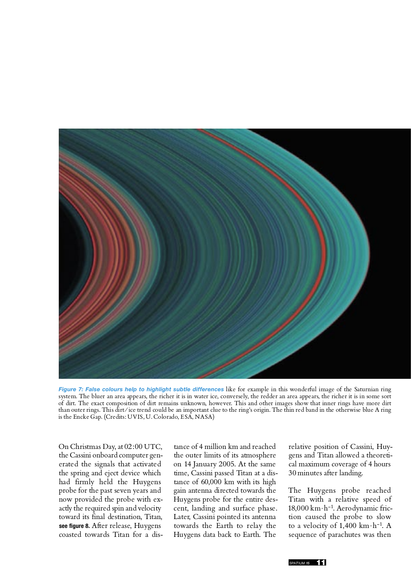

Figure 7: False colours help to highlight subtle differences like for example in this wonderful image of the Saturnian ring<br>system. The bluer an area appears, the richer it is in water ice, conversely, the redder an area a of dirt. The exact composition of dirt remains unknown, however. This and other images show that inner rings have more dirt than outer rings. This dirt / ice trend could be an important clue to the ring's origin. The thin red band in the otherwise blue A ring is the Encke Gap. (Credits: UVIS, U. Colorado, ESA, NASA)

On Christmas Day, at 02:00 UTC, the Cassini onboard computer gen erated the signals that activated the spring and eject device which had firmly held the Huygens probe for the past seven years and now provided the probe with ex actly the required spin and velocity toward its final destination, Titan, **see figure 8.** After release, Huygens coasted towards Titan for a dis-

tance of 4 million km and reached the outer limits of its atmosphere on 14 January 2005. At the same time, Cassini passed Titan at a distance of 60,000 km with its high gain antenna directed towards the Huygens probe for the entire des cent, landing and surface phase. Later, Cassini pointed its antenna towards the Earth to relay the Huygens data back to Earth. The

relative position of Cassini, Huy gens and Titan allowed a theoreti cal maximum coverage of 4 hours 30 minutes after landing.

The Huygens probe reached Titan with a relative speed of 18,000 km · h–1. Aerodynamic fric tion caused the probe to slow<br>to a velocity of  $1,400 \text{ km} \cdot \text{h}^{-1}$ . A sequence of parachutes was then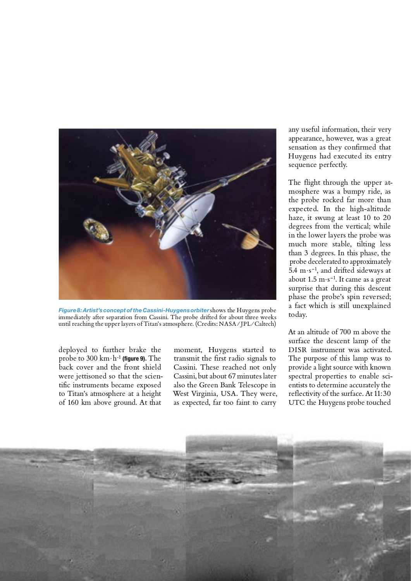

Figure 8: Artist's concept of the Cassini-Huygens orbiter shows the Huygens probe<br>immediately after separation from Cassini. The probe drifted for about three weeks<br>until reaching the upper layers of Titan's atmosphere. (C

deployed to further brake the probe to 300 km · h-1 **(figure 9).** The back cover and the front shield were jettisoned so that the scientific instruments became exposed to Titan's atmosphere at a height of 160 km above ground. At that

moment, Huygens started to transmit the first radio signals to Cassini. These reached not only Cassini, but about 67 minutes later also the Green Bank Telescope in West Virginia, USA. They were, as expected, far too faint to carry any useful information, their very appearance, however, was a great sensation as they confirmed that Huygens had executed its entry sequence perfectly.

The flight through the upper at mosphere was a bumpy ride, as the probe rocked far more than expected. In the high-altitude haze, it swung at least 10 to 20 degrees from the vertical; while in the lower layers the probe was much more stable, tilting less than 3 degrees. In this phase, the probe decelerated to approximately  $\bar{5}$ .4 m·s<sup>-1</sup>, and drifted sideways at about 1.5 m·s<sup>-1</sup>. It came as a great surprise that during this descent phase the probe's spin reversed; a fact which is still unexplained today. At an altitude of 700 m above the

surface the descent lamp of the DISR instrument was activated. The purpose of this lamp was to provide a light source with known spectral properties to enable sci entists to determine accurately the<br>reflectivity of the surface. At 11:30<br>UTC the Huygens probe touched

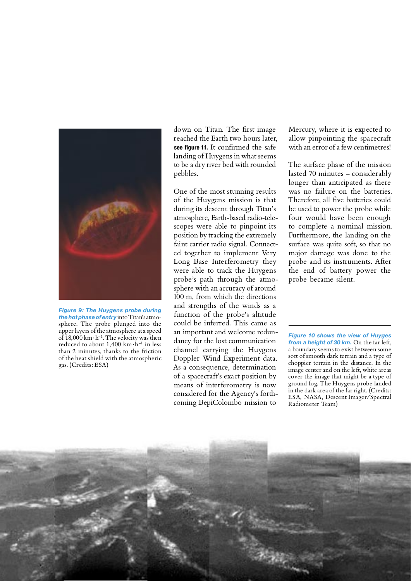

*Figure 9: The Huygens probe during the hot phase of entry* into Titan's atmo sphere. The probe plunged into the upper layers of the atmosphere at a speed<br>of  $18,000 \text{ km} \cdot \text{h}^{-1}$ . The velocity was then reduced to about 1,400 km $\cdot$  h<sup>-1</sup> in less than 2 minutes, thanks to the friction of the heat shield with the atmospheric gas. (Credits: E SA)

down on Titan. The first image reached the Earth two hours later, **see figure 11.** It confirmed the safe landing of Huygens in what seems to be a dry river bed with rounded pebbles.

One of the most stunning results of the Huygens mission is that during its descent through Titan's atmosphere, Earth-based radio-tele scopes were able to pinpoint its position by tracking the extremely faint carrier radio signal. Connect ed together to implement Very Long Base Interferometry they were able to track the Huygens probe's path through the atmosphere with an accuracy of around 100 m, from which the directions and strengths of the winds as a function of the probe's altitude could be inferred. This came as an important and welcome redun dancy for the lost communication channel carrying the Huygens Doppler Wind Experiment data. As a consequence, determination of a spacecraft's exact position by means of interferometry is now considered for the Agency's forthcoming BepiColombo mission to

Mercury, where it is expected to allow pinpointing the spacecraft with an error of a few centimetres! The surface phase of the mission

lasted 70 minutes – considerably longer than anticipated as there was no failure on the batteries. Therefore, all five batteries could be used to power the probe while four would have been enough to complete a nominal mission. Furthermore, the landing on the surface was quite soft, so that no major damage was done to the probe and its instruments. After the end of battery power the probe became silent.

*Figure 10 shows the view of Huyges*  from a height of 30 km. On the far left,<br>a boundary seems to exist between some<br>sort of smooth dark terrain and a type of<br>choppier terrain in the distance. In the<br>image center and on the left, white areas<br>cover the image t

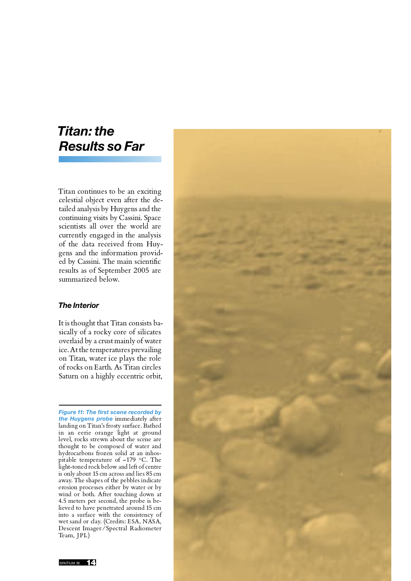## *Titan: the Results so Far*

Titan continues to be an exciting celestial object even after the de tailed analysis by Huygens and the continuing visits by Cassini. Space scientists all over the world are currently engaged in the analysis of the data received from Huy gens and the information provided by Cassini. The main scientific results as of September 2005 are summarized below.

#### *The Interior*

It is thought that Titan consists basically of a rocky core of silicates overlaid by a crust mainly of water ice. At the temperatures prevailing on Titan, water ice plays the role of rocks on Earth. As Titan circles Saturn on a highly eccentric orbit,

*Figure 11: The first scene recorded by*  landing on Titan's frosty surface. Bathed in an eerie orange light at ground level, rocks strewn about the scene are thought to be composed of water and hydrocarbons frozen solid at an inhos pitable temperature of -179 °C. The<br>light-toned rock below and left of centre is only about 15 cm across and lies 85 cm<br>away. The shapes of the pebbles indicate<br>erosion processes either by water or by<br>wind or both. After touching down at<br>4.5 meters per second, the probe is be-<br>lieved to have penetra into a surface with the consistency of wet sand or clay. (Credits: ESA, NASA, Descent Imager / Spectral Radiometer Team, JPL)

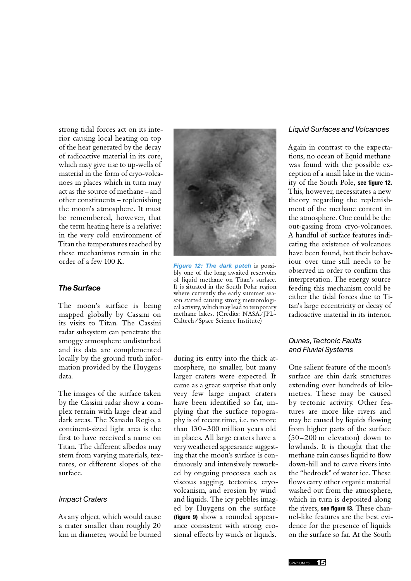strong tidal forces act on its inte rior causing local heating on top of the heat generated by the decay of radioactive material in its core, which may give rise to up-wells of material in the form of cryo-volcanoes in places which in turn may act as the source of methane – and other constituents – replenishing the moon's atmosphere. It must be remembered, however, that the term heating here is a relative: in the very cold environment of Titan the temperatures reached by these mechanisms remain in the order of a few 100 K.

#### *The Surface*

The moon's surface is being mapped globally by Cassini on its visits to Titan. The Cassini radar subsystem can penetrate the smoggy atmosphere undisturbed and its data are complemented locally by the ground truth information provided by the Huygens data.

The images of the surface taken by the Cassini radar show a com plex terrain with large clear and dark areas. The Xanadu Regio, a continent-sized light area is the first to have received a name on Titan. The different albedos may stem from varying materials, tex tures, or different slopes of the surface.

#### *Impact Craters*

As any object, which would cause a crater smaller than roughly 20 km in diameter, would be burned



*Figure 12: The dark patch* is possi bly one of the long awaited reservoirs of liquid methane on Titan's surface. It is situated in the South Polar region where currently the early summer season started causing strong meteorologi-<br>cal activity, which may lead to temporary methane lakes. (Credits: NASA/JPL-Caltech / Space Science Institute)

during its entry into the thick at mosphere, no smaller, but many larger craters were expected. It came as a great surprise that only very few large impact craters have been identified so far, im plying that the surface topography is of recent time, i.e. no more than 130 –300 million years old in places. All large craters have a very weathered appearance suggest ing that the moon's surface is con tinuously and intensively rework ed by ongoing processes such as viscous sagging, tectonics, cryo volcanism, and erosion by wind and liquids. The icy pebbles imag ed by Huygens on the surface **(figure 9)** show a rounded appearance consistent with strong erosional effects by winds or liquids.

#### *Liquid Surfaces and Volcanoes*

Again in contrast to the expecta tions, no ocean of liquid methane was found with the possible ex ception of a small lake in the vicin ity of the South Pole, **see figure 12.** This, however, necessitates a new theory regarding the replenish ment of the methane content in the atmosphere. One could be the out-gassing from cryo-volcanoes. A handful of surface features indicating the existence of volcanoes have been found, but their behav iour over time still needs to be observed in order to confirm this interpretation. The energy source feeding this mechanism could be either the tidal forces due to Titan's large eccentricity or decay of radioactive material in its interior.

#### *Dunes, Tectonic Faults and Fluvial Systems*

One salient feature of the moon's surface are thin dark structures extending over hundreds of kilo metres. These may be caused by tectonic activity. Other fea tures are more like rivers and may be caused by liquids flowing from higher parts of the surface (50 –200 m elevation) down to lowlands. It is thought that the methane rain causes liquid to flow<br>down-hill and to carve rivers into<br>the "bedrock" of water ice. These<br>flows carry other organic material<br>washed out from the atmosphere,<br>which in turn is deposited along<br>the rivers. **see f** nel-like features are the best evi dence for the presence of liquids on the surface so far. At the South

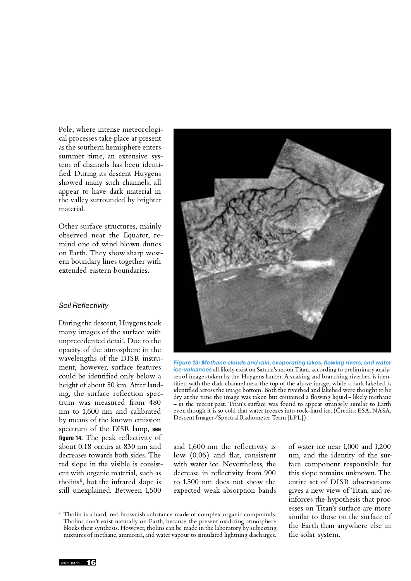Pole, where intense meteorologi cal processes take place at present as the southern hemisphere enters summer time, an extensive sys tem of channels has been identi fied. During its descent Huygens showed many such channels; all appear to have dark material in the valley surrounded by brighter material. Other surface structures, mainly

observed near the Equator, re mind one of wind blown dunes on Earth. They show sharp west ern boundary lines together with extended eastern boundaries.

#### *Soil Reflectivity*

During the descent, Huygens took many images of the surface with unprecedented detail. Due to the opacity of the atmosphere in the wavelengths of the DISR instru ment, however, surface features could be identified only below a height of about 50 km. After land ing, the surface reflection spec trum was measured from 480 nm to 1,600 nm and calibrated by means of the known emission spectrum of the DISR lamp, **see figure 14.** The peak reflectivity of about 0.18 occurs at 830 nm and decreases towards both sides. The red slope in the visible is consistent with organic material, such as tholins<sup>6</sup>, but the infrared slope is still unexplained. Between 1,500



*Figure 13: Methane clouds and rain, evaporating lakes, flowing rivers, and water ice-volcanoes* all likely exist on Saturn's moon Titan, according to preliminary analyses of images taken by the Huygens lander. A snaking and branching riverbed is idenidentified across the image bottom. Both the riverbed and lakebed were thought to be<br>dry at the time the image was taken but contained a flowing liquid – likely methane<br>– in the recent past. Titan's surface was found to ap

and 1,600 nm the reflectivity is low (0.06) and flat, consistent with water ice. Nevertheless, the decrease in reflectivity from 900 to 1,500 nm does not show the expected weak absorption bands of water ice near 1,000 and 1,200 nm, and the identity of the sur face component responsible for this slope remains unknown. The entire set of DISR observations gives a new view of Titan, and reinforces the hypothesis that processes on Titan's surface are more similar to those on the surface of



<sup>&</sup>lt;sup>6</sup> Tholin is a hard, red-brownish substance made of complex organic compounds.<br>Tholins don't exist naturally on Earth, because the present oxidizing atmosphere<br>blocks their synthesis. However, tholins can be made in the l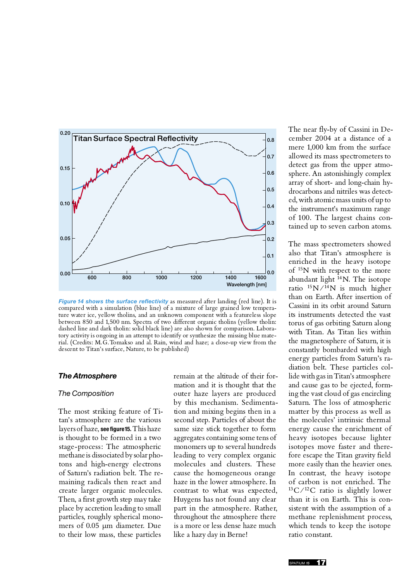

*Figure 14 shows the surface reflectivity* as measured after landing (red line). It is compared with a simulation (blue line) of a mixture of large grained low temperature water ice, yellow tholins, and an unknown component with a featureless slope<br>between 850 and 1,500 nm. Spectra of two different organic tholins (yellow tholin:<br>dashed line and dark tholin: solid black line) are also s tory activity is ongoing in an attempt to identify or synthesize the missing blue material. (Credits: M. G. Tomakso and al. Rain, wind and haze; a close-up view from the descent to Titan's surface, Nature, to be published)

#### *The Atmosphere*

#### *The Composition*

The most striking feature of Ti tan's atmosphere are the various layers of haze, **see figure 15.** This haze is thought to be formed in a two stage-process: The atmospheric methane is dissociated by solar pho tons and high-energy electrons of Saturn's radiation belt. The remaining radicals then react and create larger organic molecules. Then, a first growth step may take place by accretion leading to small particles, roughly spherical mono mers of 0.05 µm diameter. Due to their low mass, these particles

remain at the altitude of their formation and it is thought that the outer haze layers are produced by this mechanism. Sedimenta tion and mixing begins then in a second step. Particles of about the same size stick together to form aggregates containing some tens of monomers up to several hundreds leading to very complex organic molecules and clusters. These cause the homogeneous orange haze in the lower atmosphere. In contrast to what was expected, Huygens has not found any clear part in the atmosphere. Rather, throughout the atmosphere there is a more or less dense haze much like a hazy day in Berne!

The near fly-by of Cassini in De cember 2004 at a distance of a mere 1,000 km from the surface allowed its mass spectrometers to detect gas from the upper atmo sphere. An astonishingly complex array of short- and long-chain hydrocarbons and nitriles was detected, with atomic mass units of up to<br>the instrument's maximum range<br>of 100. The largest chains contained up to seven carbon atoms.

The mass spectrometers showed also that Titan's atmosphere is enriched in the heavy isotope of 15N with respect to the more abundant light  $^{14}$ N. The isotope ratio  $^{15}N/^{14}N$  is much higher than on Earth. After insertion of Cassini in its orbit around Saturn its instruments detected the vast torus of gas orbiting Saturn along with Titan. As Titan lies within the magnetosphere of Saturn, it is constantly bombarded with high energy particles from Saturn's ra diation belt. These particles col lide with gas in Titan's atmosphere and cause gas to be ejected, forming the vast cloud of gas encircling Saturn. The loss of atmospheric matter by this process as well as the molecules' intrinsic thermal energy cause the enrichment of heavy isotopes because lighter isotopes move faster and there-<br>fore escape the Titan gravity field more easily than the heavier ones. In contrast, the heavy isotope of carbon is not enriched. The  $13C$  / $12C$  ratio is slightly lower than it is on Earth. This is con sistent with the assumption of a methane replenishment process, which tends to keep the isotope ratio constant.

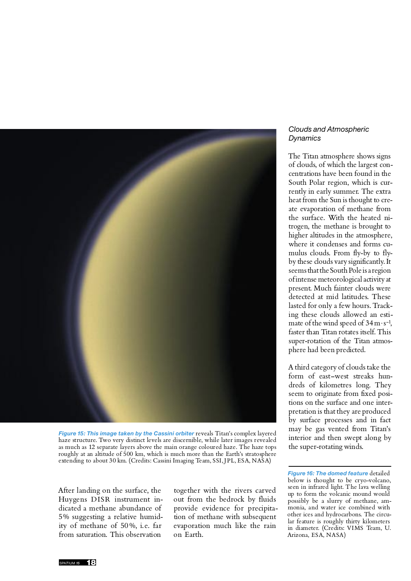

Figure 15: This image taken by the Cassini orbiter reveals Titan's complex layered<br>haze structure. Two very distinct levels are discernible, while later images revealed<br>as much as 12 separate layers above the main orange c extending to about 30 km. (Credits: Cassini Imaging Team, SSI, JPL, ESA, NASA)

After landing on the surface, the Huygens DISR instrument indicated a methane abundance of 5% suggesting a relative humid ity of methane of 50%, i.e. far from saturation. This observation

together with the rivers carved out from the bedrock by fluids provide evidence for precipita tion of methane with subsequent evaporation much like the rain on Earth.

#### *Clouds and Atmospheric Dynamics*

The Titan atmosphere shows signs of clouds, of which the largest con centrations have been found in the South Polar region, which is cur rently in early summer. The extra heat from the Sun is thought to cre ate evaporation of methane from the surface. With the heated ni trogen, the methane is brought to higher altitudes in the atmosphere, where it condenses and forms cu mulus clouds. From fly-by to fly by these clouds vary significantly. It seems that the South Pole is a region of intense meteorological activity at present. Much fainter clouds were detected at mid latitudes. These lasted for only a few hours. Track ing these clouds allowed an esti mate of the wind speed of  $34 \,\mathrm{m \cdot s^{-1}}$ , faster than Titan rotates itself. This super-rotation of the Titan atmos-

phere had been predicted. A third category of clouds take the form of east–west streaks hundreds of kilometres long. They seem to originate from fixed positions on the surface and one inter-

*Figure 16: The domed feature* detailed below is thought to be cryo-volcano,<br>seen in infrared light. The lava welling up to form the volcanic mound would possibly be a slurry of methane, am monia, and water ice combined with other ices and hydrocarbons. The circu in diameter. (Credits: VIMS Team, U.<br>Arizona, ESA, NASA)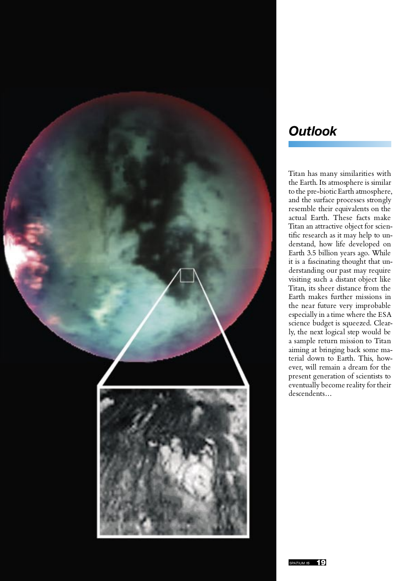

## *Outlook*

Titan has many similarities with the Earth. Its atmosphere is similar to the pre-biotic Earth atmosphere, and the surface processes strongly resemble their equivalents on the actual Earth. These facts make Titan an attractive object for scientific research as it may help to understand, how life developed on Earth 3.5 billion years ago. While it is a fascinating thought that understanding our past may require visiting such a distant object like Titan, its sheer distance from the Earth makes further missions in the near future very improbable especially in a time where the ESA science budget is squeezed. Clearly, the next logical step would be a sample return mission to Titan aiming at bringing back some material down to Earth. This, however, will remain a dream for the present generation of scientists to eventually become reality for their descendents...